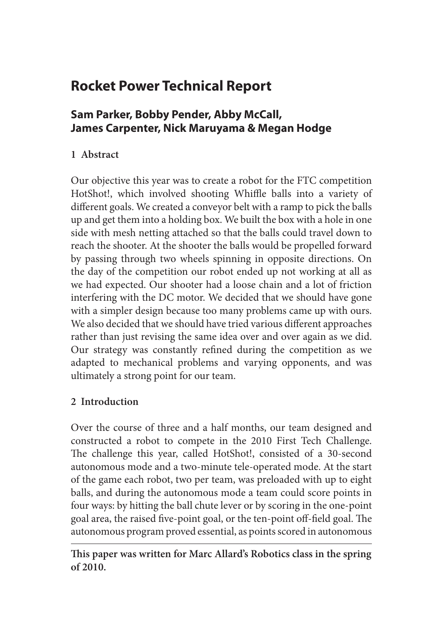# **Rocket Power Technical Report**

# **Sam Parker, Bobby Pender, Abby McCall, James Carpenter, Nick Maruyama & Megan Hodge**

# **1 Abstract**

Our objective this year was to create a robot for the FTC competition HotShot!, which involved shooting Whiffle balls into a variety of different goals. We created a conveyor belt with a ramp to pick the balls up and get them into a holding box. We built the box with a hole in one side with mesh netting attached so that the balls could travel down to reach the shooter. At the shooter the balls would be propelled forward by passing through two wheels spinning in opposite directions. On the day of the competition our robot ended up not working at all as we had expected. Our shooter had a loose chain and a lot of friction interfering with the DC motor. We decided that we should have gone with a simpler design because too many problems came up with ours. We also decided that we should have tried various different approaches rather than just revising the same idea over and over again as we did. Our strategy was constantly refined during the competition as we adapted to mechanical problems and varying opponents, and was ultimately a strong point for our team.

# **2 Introduction**

Over the course of three and a half months, our team designed and constructed a robot to compete in the 2010 First Tech Challenge. The challenge this year, called HotShot!, consisted of a 30-second autonomous mode and a two-minute tele-operated mode. At the start of the game each robot, two per team, was preloaded with up to eight balls, and during the autonomous mode a team could score points in four ways: by hitting the ball chute lever or by scoring in the one-point goal area, the raised five-point goal, or the ten-point off-field goal. The autonomous program proved essential, as points scored in autonomous

**This paper was written for Marc Allard's Robotics class in the spring of 2010.**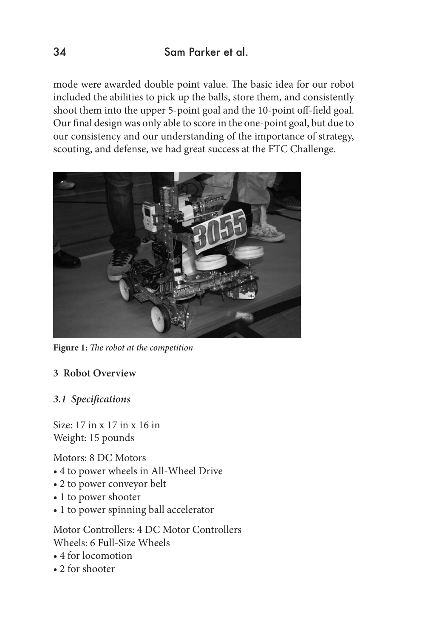mode were awarded double point value. The basic idea for our robot included the abilities to pick up the balls, store them, and consistently shoot them into the upper 5-point goal and the 10-point off-field goal. Our final design was only able to score in the one-point goal, but due to our consistency and our understanding of the importance of strategy, scouting, and defense, we had great success at the FTC Challenge.



**Figure 1:** *The robot at the competition*

- **3 Robot Overview**
- *3.1 Specifications*

Size: 17 in x 17 in x 16 in Weight: 15 pounds

Motors: 8 DC Motors

- 4 to power wheels in All-Wheel Drive
- 2 to power conveyor belt
- 1 to power shooter
- 1 to power spinning ball accelerator

Motor Controllers: 4 DC Motor Controllers Wheels: 6 Full-Size Wheels

- 4 for locomotion
- 2 for shooter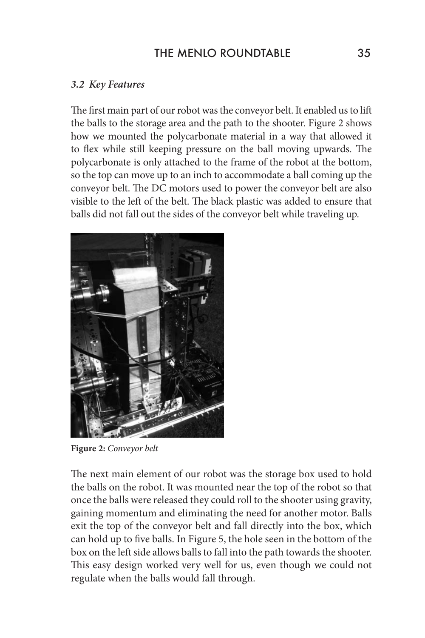### THE MENIO ROUNDTABLE 35

#### *3.2 Key Features*

The first main part of our robot was the conveyor belt. It enabled us to lift the balls to the storage area and the path to the shooter. Figure 2 shows how we mounted the polycarbonate material in a way that allowed it to flex while still keeping pressure on the ball moving upwards. The polycarbonate is only attached to the frame of the robot at the bottom, so the top can move up to an inch to accommodate a ball coming up the conveyor belt. The DC motors used to power the conveyor belt are also visible to the left of the belt. The black plastic was added to ensure that balls did not fall out the sides of the conveyor belt while traveling up.



**Figure 2:** *Conveyor belt*

The next main element of our robot was the storage box used to hold the balls on the robot. It was mounted near the top of the robot so that once the balls were released they could roll to the shooter using gravity, gaining momentum and eliminating the need for another motor. Balls exit the top of the conveyor belt and fall directly into the box, which can hold up to five balls. In Figure 5, the hole seen in the bottom of the box on the left side allows balls to fall into the path towards the shooter. This easy design worked very well for us, even though we could not regulate when the balls would fall through.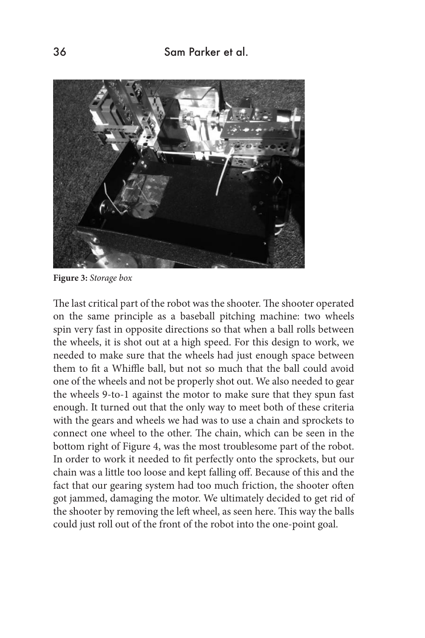

**Figure 3:** *Storage box*

The last critical part of the robot was the shooter. The shooter operated on the same principle as a baseball pitching machine: two wheels spin very fast in opposite directions so that when a ball rolls between the wheels, it is shot out at a high speed. For this design to work, we needed to make sure that the wheels had just enough space between them to fit a Whiffle ball, but not so much that the ball could avoid one of the wheels and not be properly shot out. We also needed to gear the wheels 9-to-1 against the motor to make sure that they spun fast enough. It turned out that the only way to meet both of these criteria with the gears and wheels we had was to use a chain and sprockets to connect one wheel to the other. The chain, which can be seen in the bottom right of Figure 4, was the most troublesome part of the robot. In order to work it needed to fit perfectly onto the sprockets, but our chain was a little too loose and kept falling off. Because of this and the fact that our gearing system had too much friction, the shooter often got jammed, damaging the motor. We ultimately decided to get rid of the shooter by removing the left wheel, as seen here. This way the balls could just roll out of the front of the robot into the one-point goal.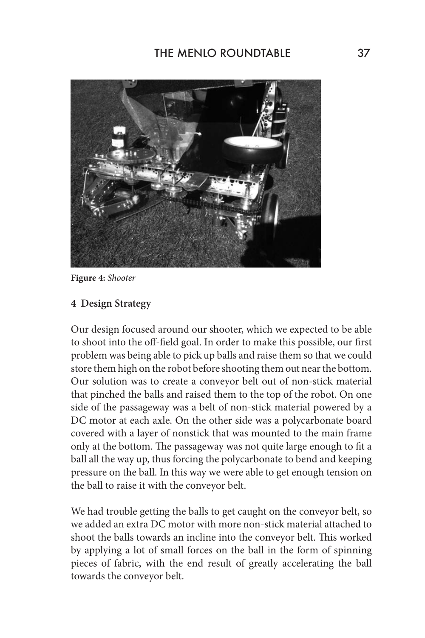

**Figure 4:** *Shooter*

#### **4 Design Strategy**

Our design focused around our shooter, which we expected to be able to shoot into the off-field goal. In order to make this possible, our first problem was being able to pick up balls and raise them so that we could store them high on the robot before shooting them out near the bottom. Our solution was to create a conveyor belt out of non-stick material that pinched the balls and raised them to the top of the robot. On one side of the passageway was a belt of non-stick material powered by a DC motor at each axle. On the other side was a polycarbonate board covered with a layer of nonstick that was mounted to the main frame only at the bottom. The passageway was not quite large enough to fit a ball all the way up, thus forcing the polycarbonate to bend and keeping pressure on the ball. In this way we were able to get enough tension on the ball to raise it with the conveyor belt.

We had trouble getting the balls to get caught on the conveyor belt, so we added an extra DC motor with more non-stick material attached to shoot the balls towards an incline into the conveyor belt. This worked by applying a lot of small forces on the ball in the form of spinning pieces of fabric, with the end result of greatly accelerating the ball towards the conveyor belt.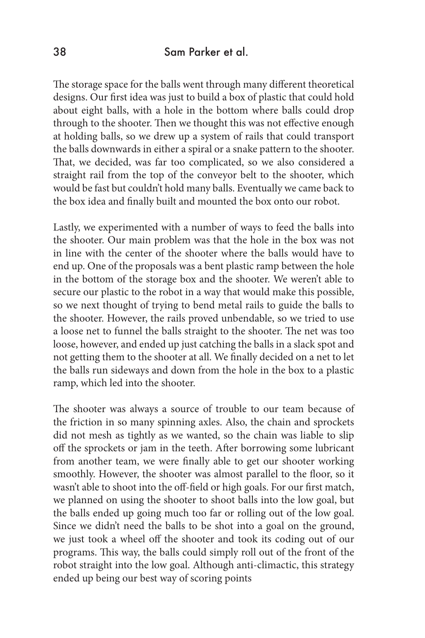#### 38 Sam Parker et al.

The storage space for the balls went through many different theoretical designs. Our first idea was just to build a box of plastic that could hold about eight balls, with a hole in the bottom where balls could drop through to the shooter. Then we thought this was not effective enough at holding balls, so we drew up a system of rails that could transport the balls downwards in either a spiral or a snake pattern to the shooter. That, we decided, was far too complicated, so we also considered a straight rail from the top of the conveyor belt to the shooter, which would be fast but couldn't hold many balls. Eventually we came back to the box idea and finally built and mounted the box onto our robot.

Lastly, we experimented with a number of ways to feed the balls into the shooter. Our main problem was that the hole in the box was not in line with the center of the shooter where the balls would have to end up. One of the proposals was a bent plastic ramp between the hole in the bottom of the storage box and the shooter. We weren't able to secure our plastic to the robot in a way that would make this possible, so we next thought of trying to bend metal rails to guide the balls to the shooter. However, the rails proved unbendable, so we tried to use a loose net to funnel the balls straight to the shooter. The net was too loose, however, and ended up just catching the balls in a slack spot and not getting them to the shooter at all. We finally decided on a net to let the balls run sideways and down from the hole in the box to a plastic ramp, which led into the shooter.

The shooter was always a source of trouble to our team because of the friction in so many spinning axles. Also, the chain and sprockets did not mesh as tightly as we wanted, so the chain was liable to slip off the sprockets or jam in the teeth. After borrowing some lubricant from another team, we were finally able to get our shooter working smoothly. However, the shooter was almost parallel to the floor, so it wasn't able to shoot into the off-field or high goals. For our first match, we planned on using the shooter to shoot balls into the low goal, but the balls ended up going much too far or rolling out of the low goal. Since we didn't need the balls to be shot into a goal on the ground, we just took a wheel off the shooter and took its coding out of our programs. This way, the balls could simply roll out of the front of the robot straight into the low goal. Although anti-climactic, this strategy ended up being our best way of scoring points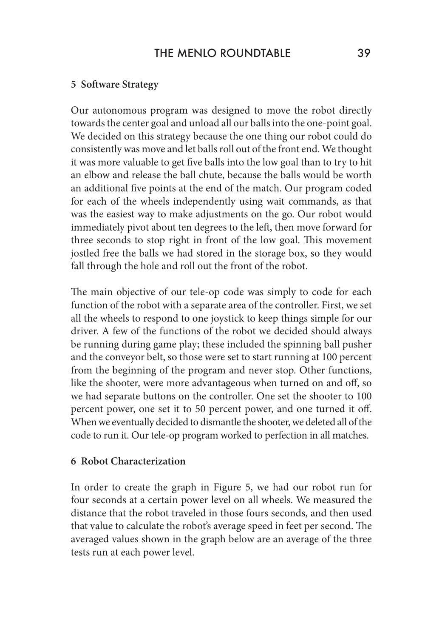#### **5 Software Strategy**

Our autonomous program was designed to move the robot directly towards the center goal and unload all our balls into the one-point goal. We decided on this strategy because the one thing our robot could do consistently was move and let balls roll out of the front end. We thought it was more valuable to get five balls into the low goal than to try to hit an elbow and release the ball chute, because the balls would be worth an additional five points at the end of the match. Our program coded for each of the wheels independently using wait commands, as that was the easiest way to make adjustments on the go. Our robot would immediately pivot about ten degrees to the left, then move forward for three seconds to stop right in front of the low goal. This movement jostled free the balls we had stored in the storage box, so they would fall through the hole and roll out the front of the robot.

The main objective of our tele-op code was simply to code for each function of the robot with a separate area of the controller. First, we set all the wheels to respond to one joystick to keep things simple for our driver. A few of the functions of the robot we decided should always be running during game play; these included the spinning ball pusher and the conveyor belt, so those were set to start running at 100 percent from the beginning of the program and never stop. Other functions, like the shooter, were more advantageous when turned on and off, so we had separate buttons on the controller. One set the shooter to 100 percent power, one set it to 50 percent power, and one turned it off. When we eventually decided to dismantle the shooter, we deleted all of the code to run it. Our tele-op program worked to perfection in all matches.

#### **6 Robot Characterization**

In order to create the graph in Figure 5, we had our robot run for four seconds at a certain power level on all wheels. We measured the distance that the robot traveled in those fours seconds, and then used that value to calculate the robot's average speed in feet per second. The averaged values shown in the graph below are an average of the three tests run at each power level.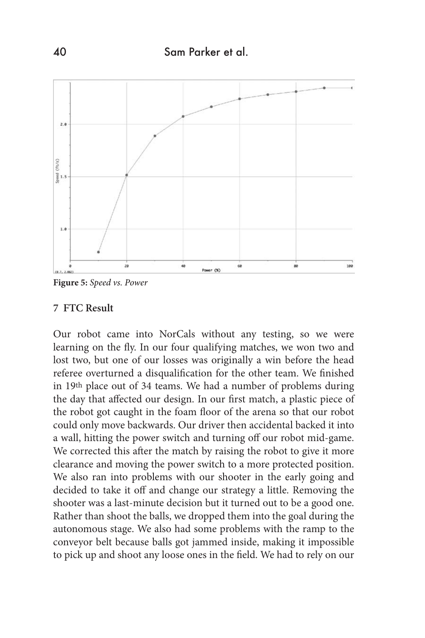

**Figure 5:** *Speed vs. Power*

#### **7 FTC Result**

Our robot came into NorCals without any testing, so we were learning on the fly. In our four qualifying matches, we won two and lost two, but one of our losses was originally a win before the head referee overturned a disqualification for the other team. We finished in 19th place out of 34 teams. We had a number of problems during the day that affected our design. In our first match, a plastic piece of the robot got caught in the foam floor of the arena so that our robot could only move backwards. Our driver then accidental backed it into a wall, hitting the power switch and turning off our robot mid-game. We corrected this after the match by raising the robot to give it more clearance and moving the power switch to a more protected position. We also ran into problems with our shooter in the early going and decided to take it off and change our strategy a little. Removing the shooter was a last-minute decision but it turned out to be a good one. Rather than shoot the balls, we dropped them into the goal during the autonomous stage. We also had some problems with the ramp to the conveyor belt because balls got jammed inside, making it impossible to pick up and shoot any loose ones in the field. We had to rely on our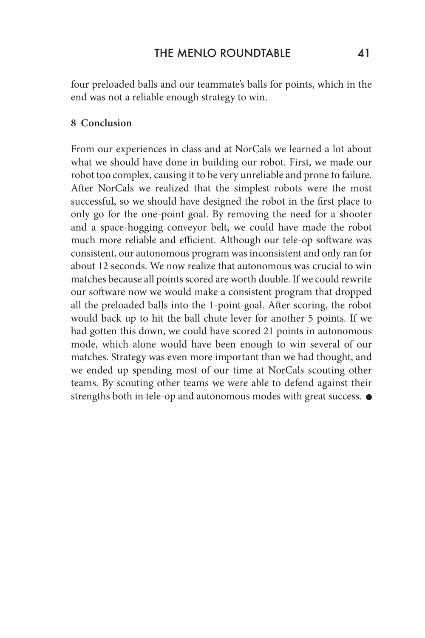four preloaded balls and our teammate's balls for points, which in the end was not a reliable enough strategy to win.

#### **8 Conclusion**

From our experiences in class and at NorCals we learned a lot about what we should have done in building our robot. First, we made our robot too complex, causing it to be very unreliable and prone to failure. After NorCals we realized that the simplest robots were the most successful, so we should have designed the robot in the first place to only go for the one-point goal. By removing the need for a shooter and a space-hogging conveyor belt, we could have made the robot much more reliable and efficient. Although our tele-op software was consistent, our autonomous program was inconsistent and only ran for about 12 seconds. We now realize that autonomous was crucial to win matches because all points scored are worth double. If we could rewrite our software now we would make a consistent program that dropped all the preloaded balls into the 1-point goal. After scoring, the robot would back up to hit the ball chute lever for another 5 points. If we had gotten this down, we could have scored 21 points in autonomous mode, which alone would have been enough to win several of our matches. Strategy was even more important than we had thought, and we ended up spending most of our time at NorCals scouting other teams. By scouting other teams we were able to defend against their strengths both in tele-op and autonomous modes with great success.  $\bullet$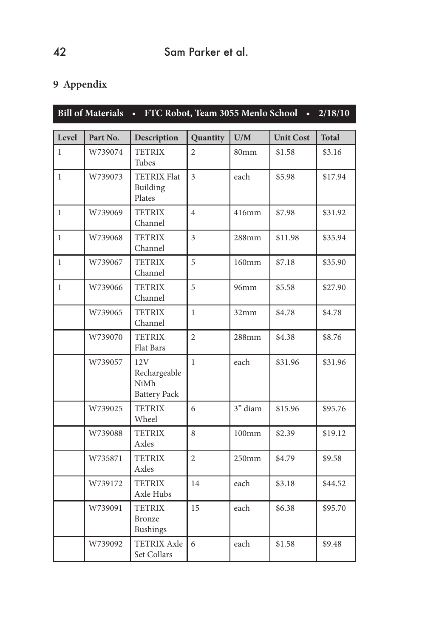# **9 Appendix**

| <b>Bill of Materials</b><br>FTC Robot, Team 3055 Menlo School<br>2/18/10<br>$\bullet$<br>$\bullet$ |          |                                                    |                          |                   |                  |              |
|----------------------------------------------------------------------------------------------------|----------|----------------------------------------------------|--------------------------|-------------------|------------------|--------------|
| Level                                                                                              | Part No. | Description                                        | Quantity                 | U/M               | <b>Unit Cost</b> | <b>Total</b> |
| $\mathbf{1}$                                                                                       | W739074  | <b>TETRIX</b><br>Tubes                             | $\overline{\mathcal{L}}$ | 80mm              | \$1.58           | \$3.16       |
| $\mathbf{1}$                                                                                       | W739073  | <b>TETRIX Flat</b><br>Building<br>Plates           | 3                        | each              | \$5.98           | \$17.94      |
| $\mathbf{1}$                                                                                       | W739069  | <b>TETRIX</b><br>Channel                           | $\overline{4}$           | 416mm             | \$7.98           | \$31.92      |
| $\mathbf{1}$                                                                                       | W739068  | <b>TETRIX</b><br>Channel                           | 3                        | 288mm             | \$11.98          | \$35.94      |
| $\mathbf{1}$                                                                                       | W739067  | <b>TETRIX</b><br>Channel                           | 5                        | 160mm             | \$7.18           | \$35.90      |
| $\mathbf{1}$                                                                                       | W739066  | <b>TETRIX</b><br>Channel                           | 5                        | 96mm              | \$5.58           | \$27.90      |
|                                                                                                    | W739065  | <b>TETRIX</b><br>Channel                           | $\mathbf{1}$             | 32mm              | \$4.78           | \$4.78       |
|                                                                                                    | W739070  | <b>TETRIX</b><br>Flat Bars                         | $\overline{2}$           | 288mm             | \$4.38           | \$8.76       |
|                                                                                                    | W739057  | 12V<br>Rechargeable<br>NiMh<br><b>Battery Pack</b> | $\mathbf{1}$             | each              | \$31.96          | \$31.96      |
|                                                                                                    | W739025  | <b>TETRIX</b><br>Wheel                             | 6                        | 3" diam           | \$15.96          | \$95.76      |
|                                                                                                    | W739088  | <b>TETRIX</b><br>Axles                             | 8                        | $100$ mm          | \$2.39           | \$19.12      |
|                                                                                                    | W735871  | <b>TETRIX</b><br>Axles                             | $\overline{2}$           | 250 <sub>mm</sub> | \$4.79           | \$9.58       |
|                                                                                                    | W739172  | <b>TETRIX</b><br>Axle Hubs                         | 14                       | each              | \$3.18           | \$44.52      |
|                                                                                                    | W739091  | <b>TETRIX</b><br>Bronze<br><b>Bushings</b>         | 15                       | each              | \$6.38           | \$95.70      |
|                                                                                                    | W739092  | <b>TETRIX Axle</b><br>Set Collars                  | 6                        | each              | \$1.58           | \$9.48       |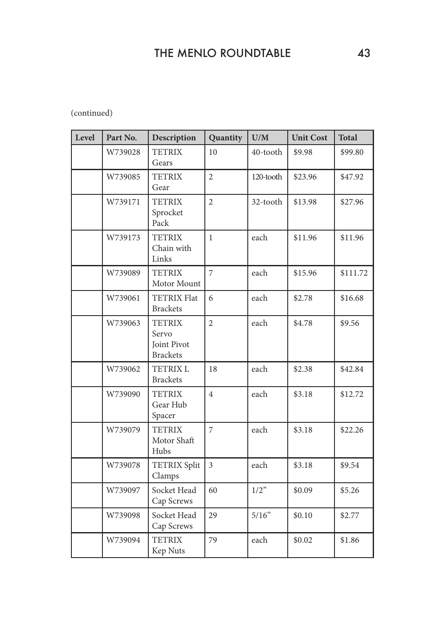### (continued)

| Level | Part No. | Description                                              | Quantity       | U/M       | <b>Unit Cost</b> | <b>Total</b> |
|-------|----------|----------------------------------------------------------|----------------|-----------|------------------|--------------|
|       | W739028  | <b>TETRIX</b><br>Gears                                   | 10             | 40-tooth  | \$9.98           | \$99.80      |
|       | W739085  | <b>TETRIX</b><br>Gear                                    | $\overline{c}$ | 120-tooth | \$23.96          | \$47.92      |
|       | W739171  | <b>TETRIX</b><br>Sprocket<br>Pack                        | $\overline{2}$ | 32-tooth  | \$13.98          | \$27.96      |
|       | W739173  | <b>TETRIX</b><br>Chain with<br>Links                     | $\mathbf{1}$   | each      | \$11.96          | \$11.96      |
|       | W739089  | <b>TETRIX</b><br>Motor Mount                             | $\overline{7}$ | each      | \$15.96          | \$111.72     |
|       | W739061  | <b>TETRIX Flat</b><br><b>Brackets</b>                    | 6              | each      | \$2.78           | \$16.68      |
|       | W739063  | <b>TETRIX</b><br>Servo<br>Joint Pivot<br><b>Brackets</b> | $\overline{2}$ | each      | \$4.78           | \$9.56       |
|       | W739062  | <b>TETRIX L</b><br><b>Brackets</b>                       | 18             | each      | \$2.38           | \$42.84      |
|       | W739090  | <b>TETRIX</b><br>Gear Hub<br>Spacer                      | $\overline{4}$ | each      | \$3.18           | \$12.72      |
|       | W739079  | <b>TETRIX</b><br>Motor Shaft<br>Hubs                     | $\overline{7}$ | each      | \$3.18           | \$22.26      |
|       | W739078  | <b>TETRIX Split</b><br>Clamps                            | $\overline{3}$ | each      | \$3.18           | \$9.54       |
|       | W739097  | Socket Head<br>Cap Screws                                | 60             | 1/2"      | \$0.09           | \$5.26       |
|       | W739098  | Socket Head<br>Cap Screws                                | 29             | 5/16"     | \$0.10           | \$2.77       |
|       | W739094  | <b>TETRIX</b><br>Kep Nuts                                | 79             | each      | \$0.02           | \$1.86       |